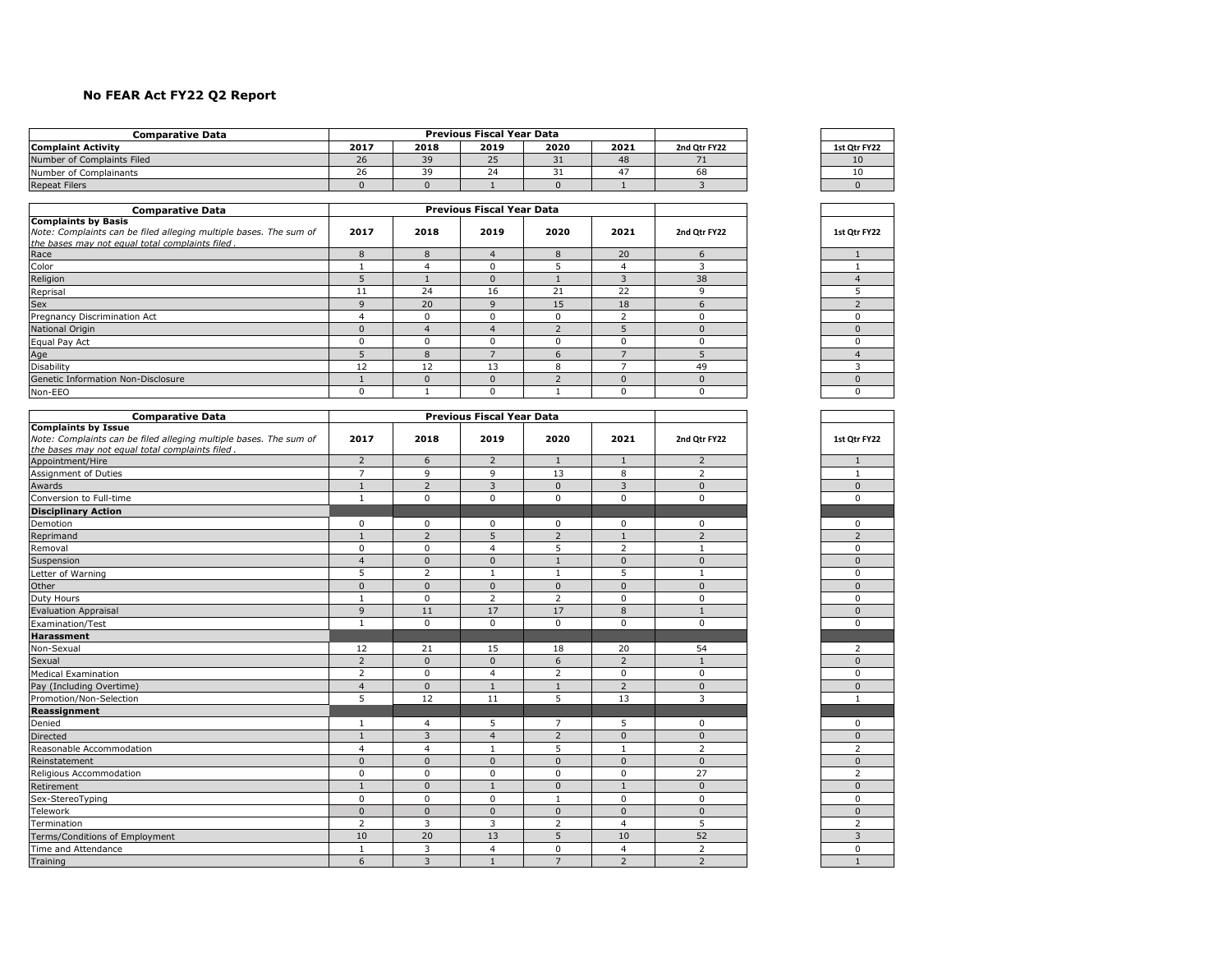## **No FEAR Act FY22 Q2 Report**

| Comparative Data           |      |        | <b>Previous Fiscal Year Data</b> |      |      |              |              |
|----------------------------|------|--------|----------------------------------|------|------|--------------|--------------|
| <b>Complaint Activity</b>  | 2017 | 2018   | 2019                             | 2020 | 2021 | 2nd Otr FY22 | 1st Otr FY22 |
| Number of Complaints Filed | 26   |        | $\overline{ }$<br>25             | ⊥ ر  | 48   |              | 10           |
| Number of Complainants     | 26   | $\sim$ | 24                               | ـ ر  | 4    | 68           | 10           |
| <b>Repeat Filers</b>       |      |        |                                  |      |      |              |              |

| <b>Comparative Data</b>                                                                                                                            |          |              | <b>Previous Fiscal Year Data</b> |          |          |              |              |
|----------------------------------------------------------------------------------------------------------------------------------------------------|----------|--------------|----------------------------------|----------|----------|--------------|--------------|
| <b>Complaints by Basis</b><br>Note: Complaints can be filed alleging multiple bases. The sum of<br>the bases may not equal total complaints filed. | 2017     | 2018         | 2019                             | 2020     | 2021     | 2nd Qtr FY22 | 1st Qtr FY22 |
| Race                                                                                                                                               | 8        | 8            |                                  | 8        | 20       |              |              |
| Color                                                                                                                                              |          |              | $\Omega$                         |          | 4        |              |              |
| Religion                                                                                                                                           |          |              | $\Omega$                         |          |          | 38           |              |
| Reprisal                                                                                                                                           | 11       | 24           | 16                               | 21       | 22       |              |              |
| Sex                                                                                                                                                | q        | 20           | $\mathbf{q}$                     | 15       | 18       |              |              |
| Pregnancy Discrimination Act                                                                                                                       | 4        | $\Omega$     | $\Omega$                         | $\Omega$ |          |              | 0            |
| <b>National Origin</b>                                                                                                                             | $\Omega$ | $\Lambda$    | $\Delta$                         |          |          |              | $\Omega$     |
| Equal Pay Act                                                                                                                                      | $\Omega$ | O            | 0                                | $\Omega$ | $\Omega$ |              | $\Omega$     |
| Age                                                                                                                                                |          | 8            |                                  | 6        |          |              |              |
| Disability                                                                                                                                         | 12       | 12           | 13                               | 8        |          | 49           |              |
| Genetic Information Non-Disclosure                                                                                                                 |          | <sup>0</sup> | $\Omega$                         |          | $\Omega$ |              |              |
| Non-EEO                                                                                                                                            | 0        |              | 0                                |          | 0        |              | $\Omega$     |

| 2017<br>2021<br>2018<br>2019<br>2020<br>2nd Qtr FY22<br>the bases may not equal total complaints filed.<br>$\overline{2}$<br>6<br>$\overline{2}$<br>$\overline{2}$<br>$\mathbf{1}$<br>Appointment/Hire<br>$\mathbf{1}$<br>$\overline{7}$<br>9<br>$\overline{2}$<br>9<br>13<br>8<br>Assignment of Duties<br>$\overline{2}$<br>3<br>3<br>$\mathbf{0}$<br>$\mathbf{1}$<br>$\Omega$<br>Conversion to Full-time<br>$\mathbf 0$<br>$\mathbf 0$<br>$\mathbf 0$<br>$\mathbf 0$<br>$\mathbf{1}$<br>$\mathbf 0$<br>0<br>$\mathbf 0$<br>0<br>0<br>0<br>0<br>$\overline{2}$<br>$\overline{2}$<br>5<br>$\overline{2}$<br>$\mathbf{1}$<br>$\mathbf{1}$<br>5<br>$\overline{2}$<br>$\Omega$<br>$\Omega$<br>$\overline{4}$<br>$\mathbf{1}$<br>$\mathbf{0}$<br>$\mathbf{0}$<br>$\mathbf{0}$<br>$\overline{4}$<br>$\mathbf{0}$<br>$\mathbf{1}$<br>5<br>5<br>2<br>$\mathbf{1}$<br>1<br>$\mathbf{1}$<br>$\mathbf{0}$<br>$\Omega$<br>$\mathbf{0}$<br>$\mathsf 0$<br>$\mathbf{0}$<br>$\Omega$<br>$\Omega$<br>$\overline{2}$<br>$\overline{2}$<br>0<br>$\Omega$<br>$\mathbf{1}$<br>$\overline{9}$<br>17<br>8<br>11<br>17<br>$\mathbf{1}$<br>$\mathbf 0$<br>$\mathbf 0$<br>$\mathbf 0$<br>$\mathbf 0$<br>$\mathbf{1}$<br>$\mathbf 0$<br>15<br>54<br>12<br>21<br>18<br>20<br>$\overline{2}$<br>$\overline{2}$<br>$\Omega$<br>$\mathbf{0}$<br>6<br>$\mathbf{1}$<br>$\overline{2}$<br>$\Omega$<br>$\overline{2}$<br>$\mathbf 0$<br>$\mathbf 0$<br>$\overline{4}$<br>$\overline{2}$<br>$\overline{4}$<br>$\Omega$<br>$\mathbf{0}$<br>$\overline{1}$<br>$\mathbf{1}$<br>Pay (Including Overtime)<br>5<br>3<br>12<br>5<br>13<br>11<br>5<br>$\overline{7}$<br>5<br>$\mathbf 0$<br>$\overline{4}$<br>1<br>3<br>$\overline{2}$<br>$\overline{4}$<br>$\mathbf{0}$<br>$\Omega$<br>$\mathbf{1}$<br>5<br>$\overline{2}$<br>$\overline{4}$<br>$\overline{4}$<br>1<br>$\overline{1}$<br>$\Omega$<br>$\Omega$<br>$\Omega$<br>$\Omega$<br>$\Omega$<br>$\mathbf{0}$<br>$\mathbf 0$<br>$\Omega$<br>$\Omega$<br>$\mathbf 0$<br>$\mathbf 0$<br>27<br>$\mathbf{0}$<br>$\mathbf{0}$<br>$\mathbf{0}$<br>$\mathbf{1}$<br>$\overline{1}$<br>$\mathbf{1}$<br>$\mathbf 0$<br>$\mathbf 0$<br>$\mathbf 0$<br>$\mathbf 0$<br>$\mathbf 0$<br>Sex-StereoTyping<br>$\mathbf{1}$<br>$\mathbf{0}$<br>$\mathbf{0}$<br>$\mathbf{0}$<br>$\mathbf{0}$<br>$\mathbf{0}$<br>$\mathbf{0}$<br>$\overline{5}$<br>$\overline{2}$<br>3<br>3<br>$\overline{2}$<br>$\overline{4}$<br>20<br>13<br>5<br>52<br>10<br>10<br>Terms/Conditions of Employment | <b>Comparative Data</b>                                           |              |   | <b>Previous Fiscal Year Data</b> |   |                         |                |  |
|-----------------------------------------------------------------------------------------------------------------------------------------------------------------------------------------------------------------------------------------------------------------------------------------------------------------------------------------------------------------------------------------------------------------------------------------------------------------------------------------------------------------------------------------------------------------------------------------------------------------------------------------------------------------------------------------------------------------------------------------------------------------------------------------------------------------------------------------------------------------------------------------------------------------------------------------------------------------------------------------------------------------------------------------------------------------------------------------------------------------------------------------------------------------------------------------------------------------------------------------------------------------------------------------------------------------------------------------------------------------------------------------------------------------------------------------------------------------------------------------------------------------------------------------------------------------------------------------------------------------------------------------------------------------------------------------------------------------------------------------------------------------------------------------------------------------------------------------------------------------------------------------------------------------------------------------------------------------------------------------------------------------------------------------------------------------------------------------------------------------------------------------------------------------------------------------------------------------------------------------------------------------------------------------------------------------------------------------------------------------------------------------------------------------------------------------------------------------------------|-------------------------------------------------------------------|--------------|---|----------------------------------|---|-------------------------|----------------|--|
|                                                                                                                                                                                                                                                                                                                                                                                                                                                                                                                                                                                                                                                                                                                                                                                                                                                                                                                                                                                                                                                                                                                                                                                                                                                                                                                                                                                                                                                                                                                                                                                                                                                                                                                                                                                                                                                                                                                                                                                                                                                                                                                                                                                                                                                                                                                                                                                                                                                                             | <b>Complaints by Issue</b>                                        |              |   |                                  |   |                         |                |  |
|                                                                                                                                                                                                                                                                                                                                                                                                                                                                                                                                                                                                                                                                                                                                                                                                                                                                                                                                                                                                                                                                                                                                                                                                                                                                                                                                                                                                                                                                                                                                                                                                                                                                                                                                                                                                                                                                                                                                                                                                                                                                                                                                                                                                                                                                                                                                                                                                                                                                             | Note: Complaints can be filed alleging multiple bases. The sum of |              |   |                                  |   |                         |                |  |
|                                                                                                                                                                                                                                                                                                                                                                                                                                                                                                                                                                                                                                                                                                                                                                                                                                                                                                                                                                                                                                                                                                                                                                                                                                                                                                                                                                                                                                                                                                                                                                                                                                                                                                                                                                                                                                                                                                                                                                                                                                                                                                                                                                                                                                                                                                                                                                                                                                                                             |                                                                   |              |   |                                  |   |                         |                |  |
|                                                                                                                                                                                                                                                                                                                                                                                                                                                                                                                                                                                                                                                                                                                                                                                                                                                                                                                                                                                                                                                                                                                                                                                                                                                                                                                                                                                                                                                                                                                                                                                                                                                                                                                                                                                                                                                                                                                                                                                                                                                                                                                                                                                                                                                                                                                                                                                                                                                                             |                                                                   |              |   |                                  |   |                         |                |  |
|                                                                                                                                                                                                                                                                                                                                                                                                                                                                                                                                                                                                                                                                                                                                                                                                                                                                                                                                                                                                                                                                                                                                                                                                                                                                                                                                                                                                                                                                                                                                                                                                                                                                                                                                                                                                                                                                                                                                                                                                                                                                                                                                                                                                                                                                                                                                                                                                                                                                             |                                                                   |              |   |                                  |   |                         |                |  |
|                                                                                                                                                                                                                                                                                                                                                                                                                                                                                                                                                                                                                                                                                                                                                                                                                                                                                                                                                                                                                                                                                                                                                                                                                                                                                                                                                                                                                                                                                                                                                                                                                                                                                                                                                                                                                                                                                                                                                                                                                                                                                                                                                                                                                                                                                                                                                                                                                                                                             | Awards                                                            |              |   |                                  |   |                         |                |  |
|                                                                                                                                                                                                                                                                                                                                                                                                                                                                                                                                                                                                                                                                                                                                                                                                                                                                                                                                                                                                                                                                                                                                                                                                                                                                                                                                                                                                                                                                                                                                                                                                                                                                                                                                                                                                                                                                                                                                                                                                                                                                                                                                                                                                                                                                                                                                                                                                                                                                             |                                                                   |              |   |                                  |   |                         |                |  |
|                                                                                                                                                                                                                                                                                                                                                                                                                                                                                                                                                                                                                                                                                                                                                                                                                                                                                                                                                                                                                                                                                                                                                                                                                                                                                                                                                                                                                                                                                                                                                                                                                                                                                                                                                                                                                                                                                                                                                                                                                                                                                                                                                                                                                                                                                                                                                                                                                                                                             | <b>Disciplinary Action</b>                                        |              |   |                                  |   |                         |                |  |
|                                                                                                                                                                                                                                                                                                                                                                                                                                                                                                                                                                                                                                                                                                                                                                                                                                                                                                                                                                                                                                                                                                                                                                                                                                                                                                                                                                                                                                                                                                                                                                                                                                                                                                                                                                                                                                                                                                                                                                                                                                                                                                                                                                                                                                                                                                                                                                                                                                                                             | Demotion                                                          |              |   |                                  |   |                         |                |  |
|                                                                                                                                                                                                                                                                                                                                                                                                                                                                                                                                                                                                                                                                                                                                                                                                                                                                                                                                                                                                                                                                                                                                                                                                                                                                                                                                                                                                                                                                                                                                                                                                                                                                                                                                                                                                                                                                                                                                                                                                                                                                                                                                                                                                                                                                                                                                                                                                                                                                             | Reprimand                                                         |              |   |                                  |   |                         |                |  |
|                                                                                                                                                                                                                                                                                                                                                                                                                                                                                                                                                                                                                                                                                                                                                                                                                                                                                                                                                                                                                                                                                                                                                                                                                                                                                                                                                                                                                                                                                                                                                                                                                                                                                                                                                                                                                                                                                                                                                                                                                                                                                                                                                                                                                                                                                                                                                                                                                                                                             | Removal                                                           |              |   |                                  |   |                         |                |  |
|                                                                                                                                                                                                                                                                                                                                                                                                                                                                                                                                                                                                                                                                                                                                                                                                                                                                                                                                                                                                                                                                                                                                                                                                                                                                                                                                                                                                                                                                                                                                                                                                                                                                                                                                                                                                                                                                                                                                                                                                                                                                                                                                                                                                                                                                                                                                                                                                                                                                             | Suspension                                                        |              |   |                                  |   |                         |                |  |
|                                                                                                                                                                                                                                                                                                                                                                                                                                                                                                                                                                                                                                                                                                                                                                                                                                                                                                                                                                                                                                                                                                                                                                                                                                                                                                                                                                                                                                                                                                                                                                                                                                                                                                                                                                                                                                                                                                                                                                                                                                                                                                                                                                                                                                                                                                                                                                                                                                                                             | Letter of Warning                                                 |              |   |                                  |   |                         |                |  |
|                                                                                                                                                                                                                                                                                                                                                                                                                                                                                                                                                                                                                                                                                                                                                                                                                                                                                                                                                                                                                                                                                                                                                                                                                                                                                                                                                                                                                                                                                                                                                                                                                                                                                                                                                                                                                                                                                                                                                                                                                                                                                                                                                                                                                                                                                                                                                                                                                                                                             | Other                                                             |              |   |                                  |   |                         |                |  |
|                                                                                                                                                                                                                                                                                                                                                                                                                                                                                                                                                                                                                                                                                                                                                                                                                                                                                                                                                                                                                                                                                                                                                                                                                                                                                                                                                                                                                                                                                                                                                                                                                                                                                                                                                                                                                                                                                                                                                                                                                                                                                                                                                                                                                                                                                                                                                                                                                                                                             | Duty Hours                                                        |              |   |                                  |   |                         |                |  |
|                                                                                                                                                                                                                                                                                                                                                                                                                                                                                                                                                                                                                                                                                                                                                                                                                                                                                                                                                                                                                                                                                                                                                                                                                                                                                                                                                                                                                                                                                                                                                                                                                                                                                                                                                                                                                                                                                                                                                                                                                                                                                                                                                                                                                                                                                                                                                                                                                                                                             | <b>Evaluation Appraisal</b>                                       |              |   |                                  |   |                         |                |  |
|                                                                                                                                                                                                                                                                                                                                                                                                                                                                                                                                                                                                                                                                                                                                                                                                                                                                                                                                                                                                                                                                                                                                                                                                                                                                                                                                                                                                                                                                                                                                                                                                                                                                                                                                                                                                                                                                                                                                                                                                                                                                                                                                                                                                                                                                                                                                                                                                                                                                             | Examination/Test                                                  |              |   |                                  |   |                         |                |  |
|                                                                                                                                                                                                                                                                                                                                                                                                                                                                                                                                                                                                                                                                                                                                                                                                                                                                                                                                                                                                                                                                                                                                                                                                                                                                                                                                                                                                                                                                                                                                                                                                                                                                                                                                                                                                                                                                                                                                                                                                                                                                                                                                                                                                                                                                                                                                                                                                                                                                             | <b>Harassment</b>                                                 |              |   |                                  |   |                         |                |  |
|                                                                                                                                                                                                                                                                                                                                                                                                                                                                                                                                                                                                                                                                                                                                                                                                                                                                                                                                                                                                                                                                                                                                                                                                                                                                                                                                                                                                                                                                                                                                                                                                                                                                                                                                                                                                                                                                                                                                                                                                                                                                                                                                                                                                                                                                                                                                                                                                                                                                             | Non-Sexual                                                        |              |   |                                  |   |                         |                |  |
|                                                                                                                                                                                                                                                                                                                                                                                                                                                                                                                                                                                                                                                                                                                                                                                                                                                                                                                                                                                                                                                                                                                                                                                                                                                                                                                                                                                                                                                                                                                                                                                                                                                                                                                                                                                                                                                                                                                                                                                                                                                                                                                                                                                                                                                                                                                                                                                                                                                                             | Sexual                                                            |              |   |                                  |   |                         |                |  |
|                                                                                                                                                                                                                                                                                                                                                                                                                                                                                                                                                                                                                                                                                                                                                                                                                                                                                                                                                                                                                                                                                                                                                                                                                                                                                                                                                                                                                                                                                                                                                                                                                                                                                                                                                                                                                                                                                                                                                                                                                                                                                                                                                                                                                                                                                                                                                                                                                                                                             | <b>Medical Examination</b>                                        |              |   |                                  |   |                         |                |  |
|                                                                                                                                                                                                                                                                                                                                                                                                                                                                                                                                                                                                                                                                                                                                                                                                                                                                                                                                                                                                                                                                                                                                                                                                                                                                                                                                                                                                                                                                                                                                                                                                                                                                                                                                                                                                                                                                                                                                                                                                                                                                                                                                                                                                                                                                                                                                                                                                                                                                             |                                                                   |              |   |                                  |   |                         |                |  |
|                                                                                                                                                                                                                                                                                                                                                                                                                                                                                                                                                                                                                                                                                                                                                                                                                                                                                                                                                                                                                                                                                                                                                                                                                                                                                                                                                                                                                                                                                                                                                                                                                                                                                                                                                                                                                                                                                                                                                                                                                                                                                                                                                                                                                                                                                                                                                                                                                                                                             | Promotion/Non-Selection                                           |              |   |                                  |   |                         |                |  |
|                                                                                                                                                                                                                                                                                                                                                                                                                                                                                                                                                                                                                                                                                                                                                                                                                                                                                                                                                                                                                                                                                                                                                                                                                                                                                                                                                                                                                                                                                                                                                                                                                                                                                                                                                                                                                                                                                                                                                                                                                                                                                                                                                                                                                                                                                                                                                                                                                                                                             | Reassignment                                                      |              |   |                                  |   |                         |                |  |
|                                                                                                                                                                                                                                                                                                                                                                                                                                                                                                                                                                                                                                                                                                                                                                                                                                                                                                                                                                                                                                                                                                                                                                                                                                                                                                                                                                                                                                                                                                                                                                                                                                                                                                                                                                                                                                                                                                                                                                                                                                                                                                                                                                                                                                                                                                                                                                                                                                                                             | Denied                                                            |              |   |                                  |   |                         |                |  |
|                                                                                                                                                                                                                                                                                                                                                                                                                                                                                                                                                                                                                                                                                                                                                                                                                                                                                                                                                                                                                                                                                                                                                                                                                                                                                                                                                                                                                                                                                                                                                                                                                                                                                                                                                                                                                                                                                                                                                                                                                                                                                                                                                                                                                                                                                                                                                                                                                                                                             | Directed                                                          |              |   |                                  |   |                         |                |  |
|                                                                                                                                                                                                                                                                                                                                                                                                                                                                                                                                                                                                                                                                                                                                                                                                                                                                                                                                                                                                                                                                                                                                                                                                                                                                                                                                                                                                                                                                                                                                                                                                                                                                                                                                                                                                                                                                                                                                                                                                                                                                                                                                                                                                                                                                                                                                                                                                                                                                             | Reasonable Accommodation                                          |              |   |                                  |   |                         |                |  |
|                                                                                                                                                                                                                                                                                                                                                                                                                                                                                                                                                                                                                                                                                                                                                                                                                                                                                                                                                                                                                                                                                                                                                                                                                                                                                                                                                                                                                                                                                                                                                                                                                                                                                                                                                                                                                                                                                                                                                                                                                                                                                                                                                                                                                                                                                                                                                                                                                                                                             | Reinstatement                                                     |              |   |                                  |   |                         |                |  |
|                                                                                                                                                                                                                                                                                                                                                                                                                                                                                                                                                                                                                                                                                                                                                                                                                                                                                                                                                                                                                                                                                                                                                                                                                                                                                                                                                                                                                                                                                                                                                                                                                                                                                                                                                                                                                                                                                                                                                                                                                                                                                                                                                                                                                                                                                                                                                                                                                                                                             | Religious Accommodation                                           |              |   |                                  |   |                         |                |  |
|                                                                                                                                                                                                                                                                                                                                                                                                                                                                                                                                                                                                                                                                                                                                                                                                                                                                                                                                                                                                                                                                                                                                                                                                                                                                                                                                                                                                                                                                                                                                                                                                                                                                                                                                                                                                                                                                                                                                                                                                                                                                                                                                                                                                                                                                                                                                                                                                                                                                             | Retirement                                                        |              |   |                                  |   |                         |                |  |
|                                                                                                                                                                                                                                                                                                                                                                                                                                                                                                                                                                                                                                                                                                                                                                                                                                                                                                                                                                                                                                                                                                                                                                                                                                                                                                                                                                                                                                                                                                                                                                                                                                                                                                                                                                                                                                                                                                                                                                                                                                                                                                                                                                                                                                                                                                                                                                                                                                                                             |                                                                   |              |   |                                  |   |                         |                |  |
|                                                                                                                                                                                                                                                                                                                                                                                                                                                                                                                                                                                                                                                                                                                                                                                                                                                                                                                                                                                                                                                                                                                                                                                                                                                                                                                                                                                                                                                                                                                                                                                                                                                                                                                                                                                                                                                                                                                                                                                                                                                                                                                                                                                                                                                                                                                                                                                                                                                                             | Telework                                                          |              |   |                                  |   |                         |                |  |
|                                                                                                                                                                                                                                                                                                                                                                                                                                                                                                                                                                                                                                                                                                                                                                                                                                                                                                                                                                                                                                                                                                                                                                                                                                                                                                                                                                                                                                                                                                                                                                                                                                                                                                                                                                                                                                                                                                                                                                                                                                                                                                                                                                                                                                                                                                                                                                                                                                                                             | Termination                                                       |              |   |                                  |   |                         |                |  |
|                                                                                                                                                                                                                                                                                                                                                                                                                                                                                                                                                                                                                                                                                                                                                                                                                                                                                                                                                                                                                                                                                                                                                                                                                                                                                                                                                                                                                                                                                                                                                                                                                                                                                                                                                                                                                                                                                                                                                                                                                                                                                                                                                                                                                                                                                                                                                                                                                                                                             |                                                                   |              |   |                                  |   |                         |                |  |
|                                                                                                                                                                                                                                                                                                                                                                                                                                                                                                                                                                                                                                                                                                                                                                                                                                                                                                                                                                                                                                                                                                                                                                                                                                                                                                                                                                                                                                                                                                                                                                                                                                                                                                                                                                                                                                                                                                                                                                                                                                                                                                                                                                                                                                                                                                                                                                                                                                                                             | Time and Attendance                                               | $\mathbf{1}$ | 3 | $\overline{4}$                   | 0 | $\overline{\mathbf{4}}$ | $\overline{2}$ |  |
| 3<br>$\overline{7}$<br>6<br>$\overline{2}$<br>2<br>$\overline{1}$                                                                                                                                                                                                                                                                                                                                                                                                                                                                                                                                                                                                                                                                                                                                                                                                                                                                                                                                                                                                                                                                                                                                                                                                                                                                                                                                                                                                                                                                                                                                                                                                                                                                                                                                                                                                                                                                                                                                                                                                                                                                                                                                                                                                                                                                                                                                                                                                           | Training                                                          |              |   |                                  |   |                         |                |  |

| tr FY2<br>it<br>O<br>1 |
|------------------------|
| $\overline{10}$        |
| 10                     |
| $\mathbf{0}$           |
|                        |
|                        |
|                        |
| 1st Qtr FY22           |
| $\mathbf{1}$           |
| $\mathbf{1}$           |
| 4                      |
| 5                      |
| $\overline{2}$         |
| Ō                      |
| $\overline{0}$         |
| 0                      |
| 4                      |
|                        |
| $\overline{0}$         |
| 0                      |
|                        |
|                        |
| 1st Qtr FY2<br>22      |
|                        |
| $\overline{1}$         |
| $\mathbf{1}$           |
| $\overline{0}$         |
| 0<br>l                 |
| $\overline{0}$         |
| $\overline{2}$         |
| 0                      |
| $\overline{0}$         |
| 0                      |
| $\overline{0}$         |
| 0                      |
| $\overline{0}$         |
| 0                      |
|                        |
| $\overline{c}$         |
| $\overline{0}$         |
| 0                      |
| $\overline{0}$         |
| $\mathbf{1}$<br>Ī      |
| 0                      |
| $\overline{0}$         |
| $\overline{c}$         |
| $\overline{0}$         |
| $\overline{c}$         |
| $\mathbf{0}$           |
| 0                      |
|                        |
| $\frac{0}{2}$          |
|                        |
| Ō                      |
| $\overline{1}$         |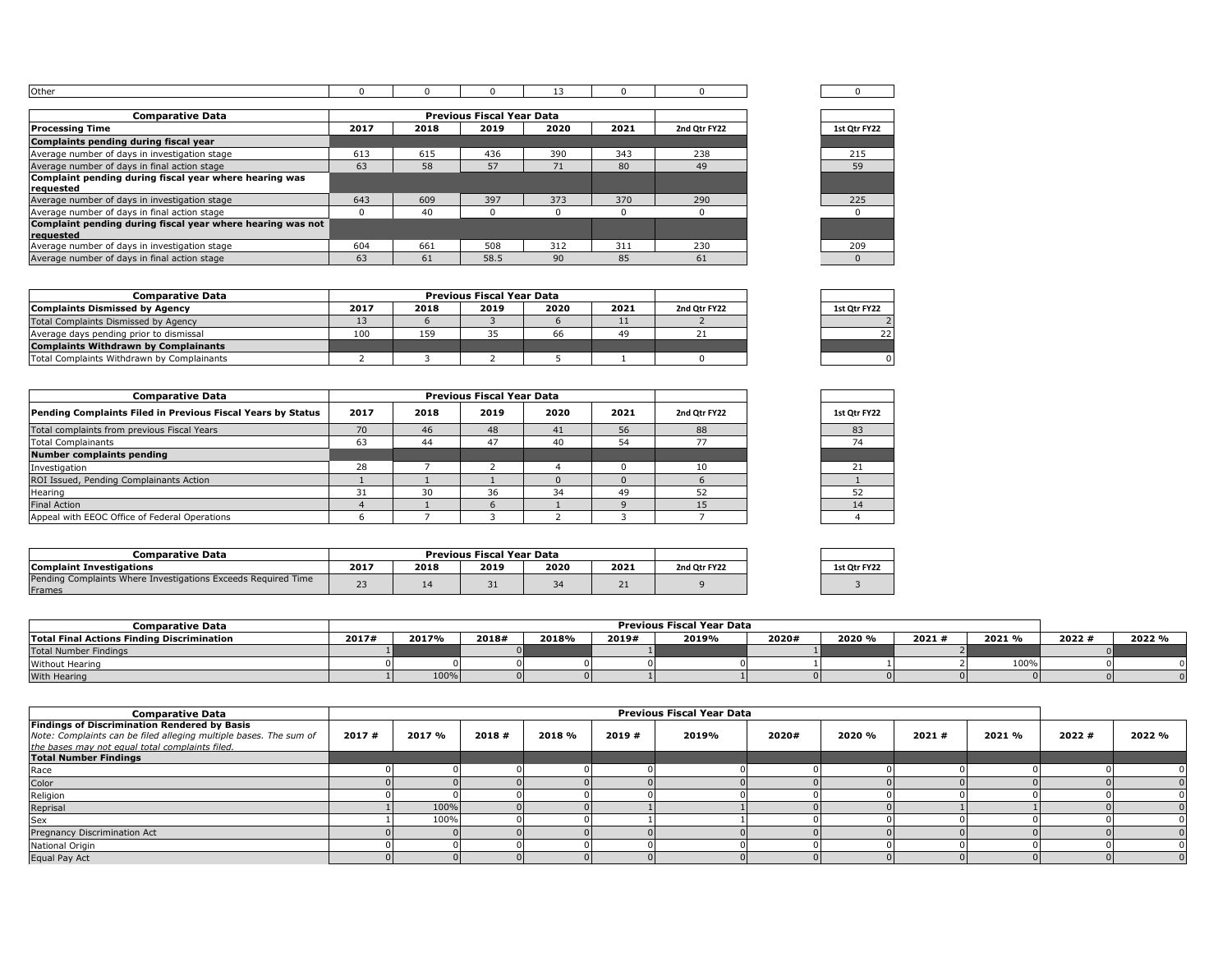| . |  |  |  |  |
|---|--|--|--|--|

| <b>Comparative Data</b>                                    |      |      | <b>Previous Fiscal Year Data</b> |      |      |              |              |
|------------------------------------------------------------|------|------|----------------------------------|------|------|--------------|--------------|
| <b>Processing Time</b>                                     | 2017 | 2018 | 2019                             | 2020 | 2021 | 2nd Otr FY22 | 1st Otr FY22 |
| Complaints pending during fiscal year                      |      |      |                                  |      |      |              |              |
| Average number of days in investigation stage              | 613  | 615  | 436                              | 390  | 343  | 238          | 215          |
| Average number of days in final action stage               | 63   | 58   | 57                               | 71   | 80   | 49           | 59           |
| Complaint pending during fiscal year where hearing was     |      |      |                                  |      |      |              |              |
| requested                                                  |      |      |                                  |      |      |              |              |
| Average number of days in investigation stage              | 643  | 609  | 397                              | 373  | 370  | 290          | 225          |
| Average number of days in final action stage               |      | 40   |                                  |      |      |              |              |
| Complaint pending during fiscal year where hearing was not |      |      |                                  |      |      |              |              |
| reauested                                                  |      |      |                                  |      |      |              |              |
| Average number of days in investigation stage              | 604  | 661  | 508                              | 312  | 311  | 230          | 209          |
| Average number of days in final action stage               | 63   | 61   | 58.5                             | 90   | 85   | 61           |              |

| 0            |  |
|--------------|--|
|              |  |
|              |  |
| 1st Qtr FY22 |  |
|              |  |
| 215          |  |
| 59           |  |
|              |  |
|              |  |
| 225          |  |
| $\Omega$     |  |
|              |  |
|              |  |
| 209          |  |
| $\Omega$     |  |

| <b>Comparative Data</b>                     |      |      | <b>Previous Fiscal Year Data</b> |      |      |              |              |
|---------------------------------------------|------|------|----------------------------------|------|------|--------------|--------------|
| Complaints Dismissed by Agency              | 2017 | 2018 | 2019                             | 2020 | 2021 | 2nd Otr FY22 | 1st Otr FY22 |
| Total Complaints Dismissed by Agency        |      |      |                                  |      |      |              |              |
| Average days pending prior to dismissal     | 100  | 159  |                                  | 66   | 49   |              |              |
| <b>Complaints Withdrawn by Complainants</b> |      |      |                                  |      |      |              |              |
| Total Complaints Withdrawn by Complainants  |      |      |                                  |      |      |              |              |

| <b>Comparative Data</b>                                     |      |      | <b>Previous Fiscal Year Data</b> |      |      |              |              |
|-------------------------------------------------------------|------|------|----------------------------------|------|------|--------------|--------------|
| Pending Complaints Filed in Previous Fiscal Years by Status | 2017 | 2018 | 2019                             | 2020 | 2021 | 2nd Otr FY22 | 1st Otr FY22 |
| Total complaints from previous Fiscal Years                 | 70   | 46   | 48                               | 41   | 56   | 88           | 83           |
| <b>Total Complainants</b>                                   | 63   | 44   | 47                               | 40   | 54   |              | 74           |
| <b>Number complaints pending</b>                            |      |      |                                  |      |      |              |              |
| Investigation                                               | 28   |      |                                  |      |      |              | 21           |
| ROI Issued, Pending Complainants Action                     |      |      |                                  |      |      |              |              |
| Hearing                                                     | 31   | 30   | 36                               | 34   | 49   | 52           | 52           |
| <b>Final Action</b>                                         |      |      |                                  |      |      |              |              |
| Appeal with EEOC Office of Federal Operations               |      |      |                                  |      |      |              |              |

| 1st Qtr FY22 |
|--------------|
| 83           |
| 74           |
|              |
| 21           |
| 1            |
| 52           |
| 14           |
| Λ            |
|              |

| Comparative Data                                                        |               |      | <b>Previous Fiscal Year Data</b> |              |      |              |              |
|-------------------------------------------------------------------------|---------------|------|----------------------------------|--------------|------|--------------|--------------|
| <b>Complaint Investigations</b>                                         | 2017          | 2018 | 2019                             | 2020         | 2021 | 2nd Otr FY22 | 1st Otr FY22 |
| Pending Complaints Where Investigations Exceeds Required Time<br>Frames | $\sim$ $\sim$ |      | ـ ت                              | $\sim$<br>54 | ᇰ    |              |              |

| <b>Comparative Data</b>                           |       | Previous Fiscal Year Data |       |       |       |       |       |        |       |        |       |        |
|---------------------------------------------------|-------|---------------------------|-------|-------|-------|-------|-------|--------|-------|--------|-------|--------|
| <b>Total Final Actions Finding Discrimination</b> | 2017# | 2017%                     | 2018# | 2018% | 2019# | 2019% | 2020# | 2020 % | 2021# | 2021 % | 2022# | 2022 % |
| <b>Total Number Findings</b>                      |       |                           |       |       |       |       |       |        |       |        |       |        |
| <b>Without Hearing</b>                            |       |                           |       |       |       |       |       |        |       | 100%   |       |        |
| With Hearing                                      |       | 100%                      |       |       |       |       |       |        |       |        |       |        |

| <b>Comparative Data</b>                                                                                                                                                     | Previous Fiscal Year Data |        |       |        |       |       |       |        |       |        |       |        |
|-----------------------------------------------------------------------------------------------------------------------------------------------------------------------------|---------------------------|--------|-------|--------|-------|-------|-------|--------|-------|--------|-------|--------|
| <b>Findings of Discrimination Rendered by Basis</b><br>Note: Complaints can be filed alleging multiple bases. The sum of<br>the bases may not equal total complaints filed. | 2017#                     | 2017 % | 2018# | 2018 % | 2019# | 2019% | 2020# | 2020 % | 2021# | 2021 % | 2022# | 2022 % |
| <b>Total Number Findings</b>                                                                                                                                                |                           |        |       |        |       |       |       |        |       |        |       |        |
| Race                                                                                                                                                                        |                           |        |       |        |       |       |       |        |       |        |       |        |
| Color                                                                                                                                                                       |                           |        |       |        |       |       |       |        |       |        |       |        |
| Religion                                                                                                                                                                    |                           |        |       |        |       |       |       |        |       |        |       |        |
| Reprisal                                                                                                                                                                    |                           | 100%   |       |        |       |       |       |        |       |        |       |        |
| Sex                                                                                                                                                                         |                           | 100%   |       |        |       |       |       |        |       |        |       |        |
| Pregnancy Discrimination Act                                                                                                                                                |                           |        |       |        |       |       |       |        |       |        |       |        |
| National Origin                                                                                                                                                             |                           |        |       |        |       |       |       |        |       |        |       |        |
| Equal Pay Act                                                                                                                                                               |                           |        |       |        |       |       |       |        |       |        |       |        |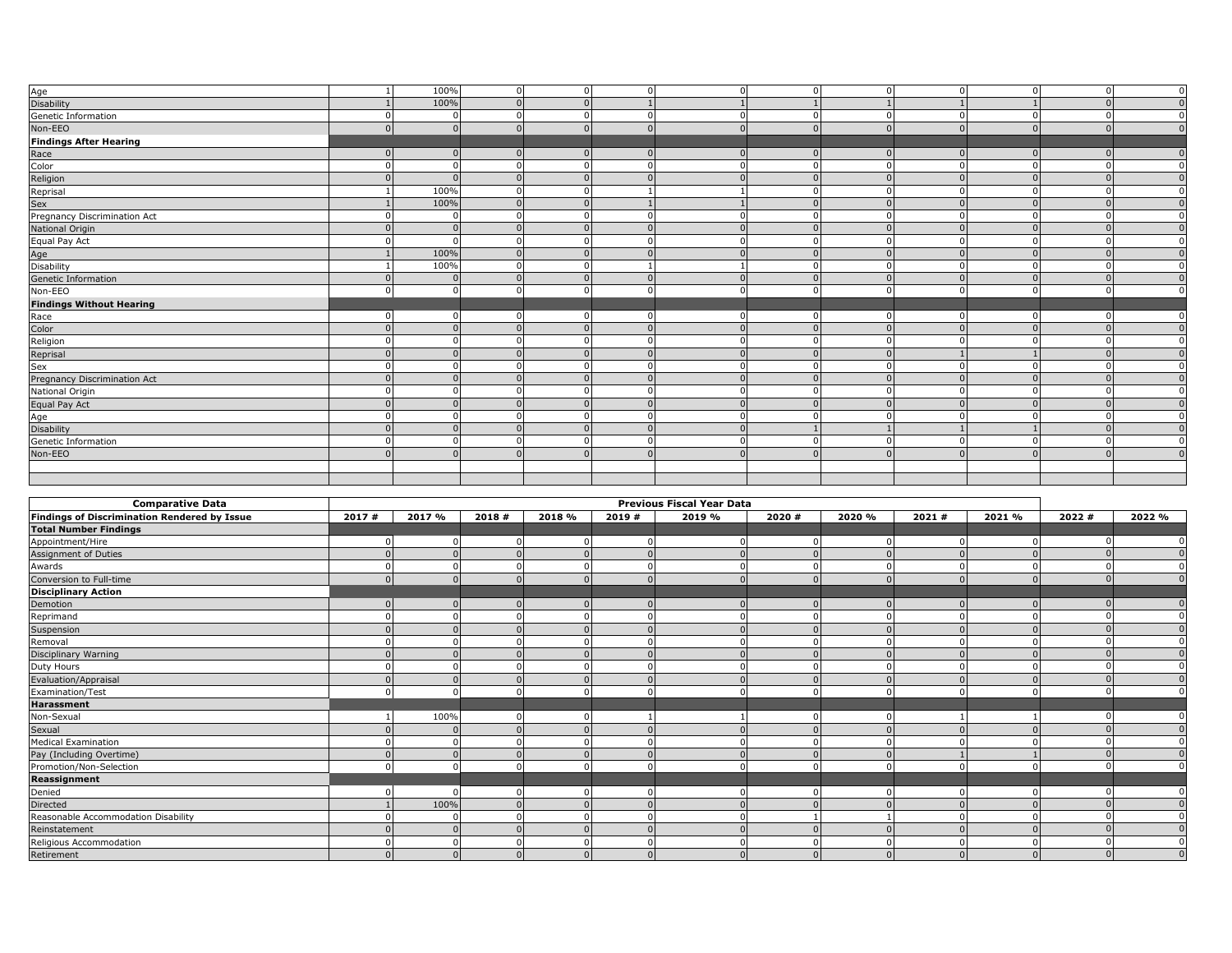|                                     | 100% | $\Omega$ | $\Omega$       | $\Omega$ |            | $\Omega$ |  | $\mathbf 0$    |
|-------------------------------------|------|----------|----------------|----------|------------|----------|--|----------------|
| Age<br>Disability                   | 100% | $\Omega$ |                |          |            |          |  | $\mathbf{0}$   |
| Genetic Information                 |      |          | $\Omega$       |          |            |          |  | $\mathbf{0}$   |
| Non-EEO                             |      |          | $\Omega$       |          | $\cap$     |          |  | $\overline{0}$ |
| <b>Findings After Hearing</b>       |      |          |                |          |            |          |  |                |
| Race                                |      |          | $\Omega$       |          | $\sqrt{ }$ |          |  | $\overline{0}$ |
| Color                               |      |          | $\Omega$       |          |            |          |  | $\overline{0}$ |
| Religion                            |      |          | $\Omega$       |          |            |          |  | $\overline{0}$ |
| Reprisal                            | 100% |          |                |          |            |          |  | $\mathbf{0}$   |
| Sex                                 | 100% |          |                |          |            |          |  | $\mathbf{0}$   |
| Pregnancy Discrimination Act        |      |          | $\Omega$       | $\Omega$ |            |          |  | $\overline{0}$ |
| National Origin                     |      |          | $\Omega$       |          |            |          |  | $\mathbf 0$    |
| Equal Pay Act                       |      |          | $\Omega$       |          |            |          |  | $\overline{0}$ |
| Age<br>Disability                   | 100% | $\Omega$ | $\Omega$       | $\Omega$ |            |          |  | $\mathbf{0}$   |
|                                     | 100% |          |                |          |            |          |  | $\mathbf{0}$   |
| Genetic Information                 |      |          | $\Omega$       |          |            |          |  | $\Omega$       |
| Non-EEO                             |      |          | $\Omega$       | $\Omega$ | C          |          |  | $\mathbf{0}$   |
| <b>Findings Without Hearing</b>     |      |          |                |          |            |          |  |                |
| Race                                |      |          |                |          |            |          |  | $\Omega$       |
| Color                               |      |          | $\Omega$       |          |            |          |  | $\mathbf{0}$   |
| Religion                            |      |          | $\Omega$       |          |            |          |  | $\mathbf{0}$   |
| Reprisal                            |      |          | $\Omega$       |          |            |          |  | $\overline{0}$ |
| Sex<br>Pregnancy Discrimination Act |      |          | $\Omega$       | $\Omega$ |            |          |  | $\overline{0}$ |
|                                     |      |          | $\Omega$       | $\Omega$ | $\sqrt{ }$ |          |  | $\mathbf{0}$   |
| National Origin                     |      |          | $\Omega$       |          |            |          |  | $\overline{0}$ |
| Equal Pay Act                       |      |          | $\Omega$       |          |            |          |  | $\mathbf{0}$   |
| Age                                 |      |          | $\mathbf{0}$   |          |            |          |  | $\mathbf{0}$   |
| Disability                          |      |          | $\overline{0}$ | $\Omega$ |            |          |  | $\mathbf{0}$   |
| Genetic Information                 |      |          | $\Omega$       | $\Omega$ | $\sqrt{ }$ | $\Omega$ |  | $\overline{0}$ |
| Non-EEO                             |      |          | $\Omega$       |          |            |          |  | $\Omega$       |
|                                     |      |          |                |          |            |          |  |                |
|                                     |      |          |                |          |            |          |  |                |

| <b>Comparative Data</b>                      | <b>Previous Fiscal Year Data</b> |              |              |        |       |        |        |        |       |        |       |        |
|----------------------------------------------|----------------------------------|--------------|--------------|--------|-------|--------|--------|--------|-------|--------|-------|--------|
| Findings of Discrimination Rendered by Issue | 2017#                            | 2017 %       | 2018#        | 2018 % | 2019# | 2019 % | 2020 # | 2020 % | 2021# | 2021 % | 2022# | 2022 % |
| <b>Total Number Findings</b>                 |                                  |              |              |        |       |        |        |        |       |        |       |        |
| Appointment/Hire<br>Assignment of Duties     |                                  |              |              |        |       |        |        |        |       |        |       |        |
|                                              |                                  |              |              |        |       |        |        |        |       |        |       |        |
| Awards<br>Conversion to Full-time            |                                  |              |              |        |       |        |        |        |       |        |       |        |
|                                              |                                  |              |              |        |       |        |        |        |       |        |       |        |
| <b>Disciplinary Action</b>                   |                                  |              |              |        |       |        |        |        |       |        |       |        |
| Demotion                                     |                                  |              |              |        |       |        |        |        |       |        |       |        |
| Reprimand                                    |                                  |              |              |        |       |        |        |        |       |        |       |        |
| Suspension<br>Removal                        |                                  |              |              |        |       |        |        |        |       |        |       |        |
|                                              |                                  |              |              |        |       |        |        |        |       |        |       |        |
| Disciplinary Warning                         |                                  |              |              |        |       |        |        |        |       |        |       |        |
| Duty Hours                                   |                                  |              |              |        |       |        |        |        |       |        |       |        |
| Evaluation/Appraisal                         |                                  |              |              |        |       |        |        |        |       |        |       |        |
| Examination/Test                             |                                  |              |              |        |       |        |        |        |       |        |       |        |
| Harassment                                   |                                  |              |              |        |       |        |        |        |       |        |       |        |
| Non-Sexual<br>Sexual<br>Medical Examination  |                                  | 100%         |              |        |       |        |        |        |       |        |       |        |
|                                              |                                  |              |              |        |       |        |        |        |       |        |       |        |
|                                              |                                  |              |              |        |       |        |        |        |       |        |       |        |
| Pay (Including Overtime)                     |                                  |              |              |        |       |        |        |        |       |        |       |        |
| Promotion/Non-Selection                      |                                  |              |              |        |       |        |        |        |       |        |       |        |
| Reassignment                                 |                                  |              |              |        |       |        |        |        |       |        |       |        |
| Denied                                       |                                  |              |              |        |       |        |        |        |       |        |       |        |
| Directed                                     |                                  | 100%         |              |        |       |        |        |        |       |        |       |        |
| Reasonable Accommodation Disability          |                                  |              |              |        |       |        |        |        |       |        |       |        |
| Reinstatement                                |                                  |              |              |        |       |        |        |        |       |        |       |        |
| Religious Accommodation                      |                                  |              |              |        |       |        |        |        |       |        |       |        |
| Retirement                                   |                                  | $\mathbf{0}$ | $\mathbf{0}$ |        | 0     |        |        |        |       |        |       |        |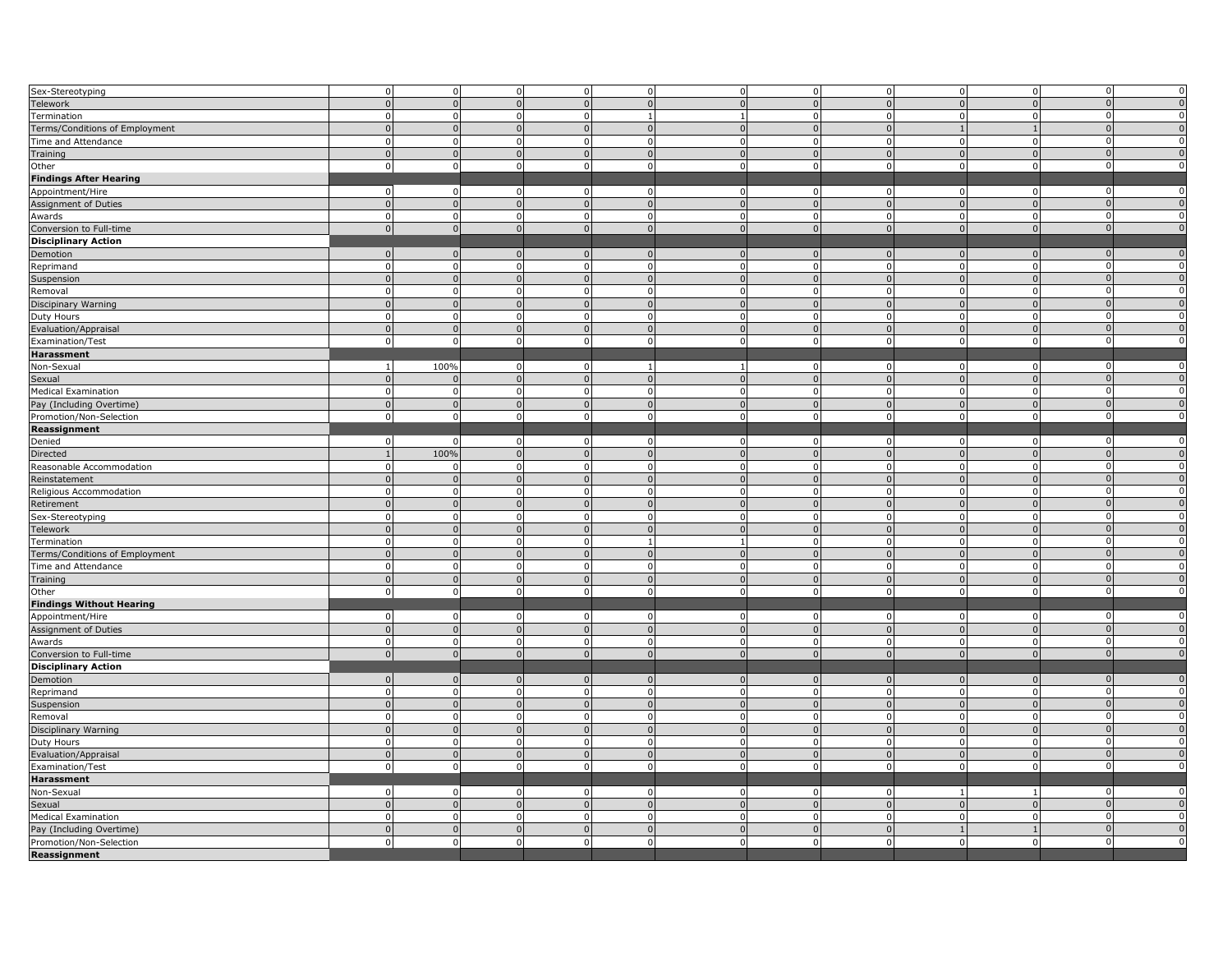| Sex-Stereotyping                         |                | $\overline{0}$ | $\mathbf 0$    | $\mathbf 0$    | $\mathbf 0$    | $\mathbf 0$    |          | $\overline{0}$ | $\mathbf 0$    | $\mathbf{0}$   | $\Omega$       | $\pmb{0}$      |
|------------------------------------------|----------------|----------------|----------------|----------------|----------------|----------------|----------|----------------|----------------|----------------|----------------|----------------|
| Telework                                 | $\Omega$       | $\Omega$       | $\Omega$       | $\overline{0}$ | $\Omega$       |                |          | $\overline{0}$ | $\Omega$       | $\Omega$       | $\sqrt{ }$     | $\mathbf 0$    |
| Termination                              | $\Omega$       | $\Omega$       | $\Omega$       | $\mathbf 0$    | $\mathbf{1}$   |                |          | $\mathbf 0$    | $\Omega$       | $\mathbf 0$    | $\sqrt{2}$     | $\pmb{0}$      |
| Terms/Conditions of Employment           |                | $\overline{0}$ | $\Omega$       | $\mathbf 0$    | $\overline{0}$ | $\overline{0}$ |          | $\overline{0}$ | $\mathbf{1}$   | $\mathbf{1}$   | $\sqrt{ }$     | $\mathbf 0$    |
| Time and Attendance                      | $\Omega$       | $\mathbf 0$    | $\mathbf 0$    | $\overline{0}$ | $\mathbf 0$    | $\overline{0}$ | $\Omega$ | $\mathbf 0$    | $\Omega$       | $\mathbf{0}$   | $\sqrt{2}$     | $\pmb{0}$      |
| Training                                 | $\Omega$       | $\overline{0}$ | $\Omega$       | $\mathbf 0$    | $\mathbf{0}$   | $\overline{0}$ |          | $\overline{0}$ | $\overline{0}$ | $\Omega$       | $\mathfrak{c}$ | $\overline{0}$ |
| Other                                    | $\mathbf 0$    | $\overline{0}$ | $\mathbf 0$    | $\overline{0}$ | $\mathbf 0$    | $\overline{0}$ | $\Omega$ | $\overline{0}$ | $\overline{0}$ | $\mathbf{0}$   | $\Omega$       | $\pmb{0}$      |
|                                          |                |                |                |                |                |                |          |                |                |                |                |                |
| <b>Findings After Hearing</b>            |                |                |                |                |                |                |          |                |                |                |                |                |
| Appointment/Hire                         | $\overline{0}$ | $\mathbf 0$    | 0              | $\overline{0}$ | $\mathbf 0$    | $\mathbf 0$    |          | $\mathbf 0$    | $\mathbf 0$    | $\mathbf 0$    | n              | $\pmb{0}$      |
| Assignment of Duties                     | $\Omega$       | $\mathbf{0}$   | $\Omega$       | $\mathbf 0$    | $\mathbf 0$    | $\overline{0}$ |          | $\overline{0}$ | $\overline{0}$ | $\mathbf{0}$   | $\sqrt{ }$     | $\mathbf 0$    |
| Awards                                   | $\Omega$       | $\Omega$       | $\Omega$       | $\mathbf{0}$   | $\mathbf{0}$   | $\overline{0}$ |          | $\mathbf 0$    | $\Omega$       | $\Omega$       | ſ              | 0              |
| Conversion to Full-time                  | $\Omega$       | $\Omega$       | $\Omega$       | $\overline{0}$ | $\overline{0}$ | $\Omega$       |          | $\overline{0}$ | $\overline{0}$ | $\Omega$       | $\sqrt{ }$     | $\mathbf 0$    |
| <b>Disciplinary Action</b>               |                |                |                |                |                |                |          |                |                |                |                |                |
| Demotion                                 | $\overline{0}$ | $\overline{0}$ | - 0            | $\mathbf 0$    | $\overline{0}$ | $\mathbf{0}$   | $\cap$   | $\mathbf 0$    | $\mathbf 0$    | $\mathbf 0$    | $\sqrt{ }$     | $\pmb{0}$      |
| Reprimand                                | $\Omega$       | $\mathbf 0$    | $\mathbf 0$    | $\mathbf 0$    | $\mathbf 0$    | $\mathbf 0$    | $\Omega$ | $\mathbf 0$    | $\mathbf 0$    | $\mathbf{0}$   | $\Omega$       | $\pmb{0}$      |
| Suspension                               | $\Omega$       | $\Omega$       | $\Omega$       | $\overline{0}$ | $\overline{0}$ | $\Omega$       |          | $\Omega$       | $\Omega$       | $\Omega$       | $\sqrt{ }$     | $\mathbf 0$    |
| Removal                                  | $\Omega$       | $\mathbf 0$    | $\mathbf 0$    | $\mathbf 0$    | $\overline{0}$ | $\overline{0}$ |          | $\mathbf 0$    | $\overline{0}$ | $\mathbf{0}$   | $\Omega$       | $\pmb{0}$      |
| Discipinary Warning                      |                | $\Omega$       | $\Omega$       | $\mathbf{0}$   | $\overline{0}$ |                |          | $\overline{0}$ | $\mathbf{0}$   | $\Omega$       |                | $\overline{0}$ |
|                                          |                |                |                |                |                |                |          |                |                |                |                |                |
| Duty Hours                               |                | 0              | 0              | $\mathbf 0$    | $\mathbf 0$    | $\mathbf 0$    |          | $\mathbf 0$    | $\mathbf 0$    | $\mathbf 0$    |                | $\pmb{0}$      |
| Evaluation/Appraisal                     |                | $\Omega$       |                | $\overline{0}$ | $\mathbf 0$    | $\Omega$       |          | $\overline{0}$ | $\mathbf{0}$   | $\Omega$       | $\sqrt{ }$     | $\pmb{0}$      |
| Examination/Test                         | $\mathbf 0$    | $\Omega$       | $\Omega$       | $\mathbf 0$    | $\overline{0}$ | $\overline{0}$ |          | $\mathbf 0$    | $\overline{0}$ | $\Omega$       | $\Omega$       | $\mathbf 0$    |
| Harassment                               |                |                |                |                |                |                |          |                |                |                |                |                |
| Non-Sexual                               | $\mathbf{1}$   | 100%           | $\mathbf 0$    | $\mathbf 0$    | $\mathbf{1}$   |                |          | $\mathbf 0$    | $\mathbf 0$    | $\Omega$       | r              | $\pmb{0}$      |
| Sexual                                   | $\Omega$       | $\Omega$       | $\mathbf{0}$   | $\overline{0}$ | $\overline{0}$ | $\overline{0}$ | $\Omega$ | $\overline{0}$ | $\overline{0}$ | $\overline{0}$ | $\sqrt{ }$     | $\overline{0}$ |
| <b>Medical Examination</b>               | $\Omega$       | $\Omega$       | $\Omega$       | $\mathbf 0$    | $\mathbf 0$    | $\Omega$       |          | $\mathbf 0$    | $\Omega$       | $\mathbf{0}$   | $\Omega$       | $\pmb{0}$      |
| Pay (Including Overtime)                 | $\Omega$       | $\mathbf 0$    | $\mathbf{0}$   | $\mathbf 0$    | $\mathbf 0$    | $\mathbf 0$    |          | $\mathbf 0$    | $\overline{0}$ | $\mathbf{0}$   | $\sqrt{ }$     | $\overline{0}$ |
| Promotion/Non-Selection                  | $\mathsf 0$    | $\mathbf 0$    | $\mathbf 0$    | $\overline{0}$ | $\mathbf 0$    | $\mathbf{0}$   | $\Omega$ | $\overline{0}$ | $\overline{0}$ | $\mathbf{0}$   | $\Omega$       | $\mathbf 0$    |
| Reassignment                             |                |                |                |                |                |                |          |                |                |                |                |                |
| Denied                                   | $\Omega$       | $\mathbf 0$    | $\mathbf 0$    | $\mathbf 0$    | $\mathbf 0$    | $\mathbf 0$    |          | $\mathbf 0$    | $\mathbf 0$    | $\mathbf{0}$   | O              | $\overline{0}$ |
| Directed                                 |                | 100%           |                | $\Omega$       | $\mathbf 0$    |                |          | $\Omega$       | $\Omega$       | $\Omega$       |                | $\mathbf 0$    |
|                                          |                |                | $\Omega$       |                |                |                |          |                | $\Omega$       | $\Omega$       |                | $\pmb{0}$      |
| Reasonable Accommodation                 |                | $\Omega$       |                | $\mathbf 0$    | $\mathbf 0$    | $\Omega$       |          | $\mathbf 0$    |                |                | $\sqrt{ }$     |                |
| Reinstatement                            |                | $\overline{0}$ | $\Omega$       | $\overline{0}$ | $\overline{0}$ | $\Omega$       |          | $\overline{0}$ | $\overline{0}$ | $\mathbf{0}$   |                | $\mathbf 0$    |
| Religious Accommodation                  |                | $\mathbf 0$    | $^{\circ}$     | $\mathbf 0$    | $\mathsf 0$    | $\mathbf 0$    |          | $\mathbf 0$    | $\Omega$       | $\Omega$       |                | $\pmb{0}$      |
| Retirement                               |                | $\overline{0}$ | $\overline{0}$ | $\overline{0}$ | $\overline{0}$ | $\overline{0}$ |          | $\overline{0}$ | $\overline{0}$ | $\mathbf{0}$   | $\sqrt{ }$     | $\overline{0}$ |
| Sex-Stereotyping                         |                | $\mathbf 0$    | $\mathbf 0$    | $\mathbf 0$    | $\mathbf 0$    | $\mathbf 0$    |          | $\mathbf 0$    | $\mathbf 0$    | $\mathbf{0}$   | $\Omega$       | $\pmb{0}$      |
| Telework                                 |                | $\mathbf 0$    | $\Omega$       | $\mathbf 0$    | $\mathbf 0$    | $\overline{0}$ |          | $\mathbf 0$    | $\Omega$       | $\mathbf 0$    | $\sqrt{ }$     | $\pmb{0}$      |
| Termination                              | $\Omega$       | $\mathsf 0$    | $\mathbf 0$    | $\overline{0}$ | $\mathbf{1}$   | $\overline{1}$ | $\Omega$ | $\overline{0}$ | $\overline{0}$ | $\mathbf{0}$   | $\Omega$       | $\pmb{0}$      |
| Terms/Conditions of Employment           |                | $\overline{0}$ | $\Omega$       | $\overline{0}$ | $\overline{0}$ | $\overline{0}$ |          | $\overline{0}$ | $\overline{0}$ | $\Omega$       | $\Omega$       | $\overline{0}$ |
| Time and Attendance                      | $\Omega$       | $\mathbf 0$    | $\mathbf 0$    | $\mathbf 0$    | $\mathbf 0$    | $\mathbf 0$    |          | $\mathbf 0$    | $\mathbf 0$    | $\mathbf{0}$   | ſ              | $\pmb{0}$      |
| Training                                 |                | $\Omega$       | $\Omega$       | $\Omega$       | $\mathbf 0$    | $\Omega$       |          | $\Omega$       | $\mathbf{0}$   | $\Omega$       | $\sqrt{ }$     | $\mathbf 0$    |
| Other                                    | $\Omega$       | $\Omega$       | $\Omega$       | $\mathbf 0$    | $\mathbf 0$    | $\mathbf 0$    |          | $\mathbf 0$    | $\mathbf 0$    | $\Omega$       | $\Omega$       | $\mathbf 0$    |
| <b>Findings Without Hearing</b>          |                |                |                |                |                |                |          |                |                |                |                |                |
|                                          | $\Omega$       | $\mathbf 0$    | $\mathbf 0$    | $\mathbf 0$    | $\overline{0}$ | $\overline{0}$ |          | $\mathbf 0$    | $\mathbf 0$    | $\mathbf{0}$   |                | 0              |
| Appointment/Hire<br>Assignment of Duties | $\Omega$       | $\overline{0}$ | $\Omega$       | $\mathbf{0}$   | $\mathbf 0$    | $\overline{0}$ |          | $\overline{0}$ | $\overline{0}$ | $\mathbf{0}$   | $\sqrt{ }$     | $\mathbf 0$    |
|                                          |                | $\Omega$       |                |                |                |                |          | $\Omega$       | $\Omega$       |                | ſ              | $\pmb{0}$      |
| Awards                                   |                |                | $\Omega$       | $\mathbf{0}$   | $\mathbf 0$    | $\overline{0}$ |          |                |                | $\mathbf{0}$   | $\sqrt{ }$     |                |
| Conversion to Full-time                  | $\mathbf 0$    | $\overline{0}$ | $\Omega$       | $\mathbf 0$    | $\mathsf 0$    | $\mathbf{0}$   |          | $\mathbf 0$    | $\overline{0}$ | $\Omega$       |                | $\mathbf 0$    |
| <b>Disciplinary Action</b>               |                |                |                |                |                |                |          |                |                |                |                |                |
| Demotion                                 | $\Omega$       | $\Omega$       |                | $\Omega$       | $\mathbf 0$    | $\Omega$       |          | $\Omega$       | $\overline{0}$ | $\Omega$       |                | $\mathbf 0$    |
| Reprimand                                | $\Omega$       | $\overline{0}$ | $\mathbf 0$    | $\mathbf 0$    | $\mathbf 0$    | $\overline{0}$ |          | $\overline{0}$ | $\overline{0}$ | $\mathbf{0}$   | ſ              | 0              |
| Suspension                               |                | $\Omega$       | $\Omega$       | $\mathbf{0}$   | $\mathsf 0$    | $\Omega$       |          | $\overline{0}$ | $\overline{0}$ | $\mathbf{0}$   | $\sqrt{ }$     | $\pmb{0}$      |
| Removal                                  |                | $\mathbf 0$    | 0              | $\mathbf 0$    | $\mathbf 0$    | $\mathbf 0$    |          | $\mathbf 0$    | $\mathbf 0$    | $\mathbf 0$    | ſ              | $\pmb{0}$      |
| Disciplinary Warning                     |                | $\Omega$       | $\Omega$       | $\mathbf{0}$   | $\mathbf{0}$   | $\Omega$       |          | $\Omega$       | $\Omega$       | $\Omega$       | $\sqrt{ }$     | $\mathbf 0$    |
| Duty Hours                               | $\Omega$       | $\mathbf 0$    | $\Omega$       | $\overline{0}$ | $\mathbf{0}$   | $\overline{0}$ |          | $\mathbf 0$    | $\mathbf 0$    | $\mathbf{0}$   |                | $\pmb{0}$      |
| Evaluation/Appraisal                     | $\Omega$       | $\overline{0}$ | $\Omega$       | $\overline{0}$ | $\overline{0}$ | $\overline{0}$ |          | $\overline{0}$ | $\overline{0}$ | $\mathbf{0}$   | $\sqrt{ }$     | $\overline{0}$ |
| Examination/Test                         |                | $\Omega$       | $\mathbf 0$    | $\mathbf 0$    | $\overline{0}$ | $\mathbf 0$    |          | $\mathbf 0$    | $\overline{0}$ | $\mathbf 0$    | ſ              | $\pmb{0}$      |
|                                          |                |                |                |                |                |                |          |                |                |                |                |                |
| <b>Harassment</b>                        | $\overline{0}$ | $\mathbf 0$    | $\mathbf 0$    | $\mathbf 0$    | $\mathbf 0$    | $\overline{0}$ | $\Omega$ | $\mathbf 0$    | $\mathbf{1}$   | 1              | $\Omega$       | $\mathbf 0$    |
| Non-Sexual                               |                |                |                |                |                |                |          |                |                |                |                |                |
| Sexual                                   | $\Omega$       | $\overline{0}$ | $\overline{0}$ | $\mathbf 0$    | $\mathbf 0$    | $\Omega$       |          | $\Omega$       | $\Omega$       | $\mathbf{0}$   |                | $\pmb{0}$      |
| <b>Medical Examination</b>               | $\Omega$       | $\overline{0}$ | $\mathbf 0$    | $\overline{0}$ | $\mathbf 0$    | $\overline{0}$ |          | $\overline{0}$ | $\overline{0}$ | $\mathbf{0}$   | $\sqrt{ }$     | $\pmb{0}$      |
| Pay (Including Overtime)                 | $\Omega$       | $\mathbf 0$    | $\Omega$       | $\mathbf{0}$   | $\mathbf 0$    |                |          | $\mathbf 0$    |                | $\mathbf{1}$   | $\sqrt{ }$     | $\pmb{0}$      |
| Promotion/Non-Selection                  | $\Omega$       | $\Omega$       | $\Omega$       | $\Omega$       | $\mathbf 0$    | $\Omega$       |          | $\Omega$       | $\Omega$       | $\Omega$       |                | $\pmb{0}$      |
| Reassignment                             |                |                |                |                |                |                |          |                |                |                |                |                |